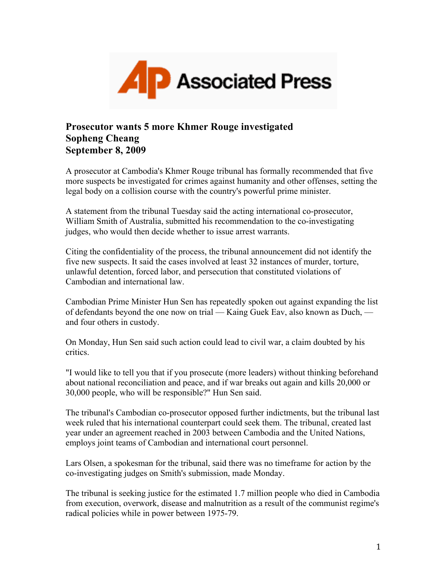

## **Prosecutor wants 5 more Khmer Rouge investigated Sopheng Cheang September 8, 2009**

A prosecutor at Cambodia's Khmer Rouge tribunal has formally recommended that five more suspects be investigated for crimes against humanity and other offenses, setting the legal body on a collision course with the country's powerful prime minister.

A statement from the tribunal Tuesday said the acting international co-prosecutor, William Smith of Australia, submitted his recommendation to the co-investigating judges, who would then decide whether to issue arrest warrants.

Citing the confidentiality of the process, the tribunal announcement did not identify the five new suspects. It said the cases involved at least 32 instances of murder, torture, unlawful detention, forced labor, and persecution that constituted violations of Cambodian and international law.

Cambodian Prime Minister Hun Sen has repeatedly spoken out against expanding the list of defendants beyond the one now on trial — Kaing Guek Eav, also known as Duch, and four others in custody.

On Monday, Hun Sen said such action could lead to civil war, a claim doubted by his critics.

"I would like to tell you that if you prosecute (more leaders) without thinking beforehand about national reconciliation and peace, and if war breaks out again and kills 20,000 or 30,000 people, who will be responsible?" Hun Sen said.

The tribunal's Cambodian co-prosecutor opposed further indictments, but the tribunal last week ruled that his international counterpart could seek them. The tribunal, created last year under an agreement reached in 2003 between Cambodia and the United Nations, employs joint teams of Cambodian and international court personnel.

Lars Olsen, a spokesman for the tribunal, said there was no timeframe for action by the co-investigating judges on Smith's submission, made Monday.

The tribunal is seeking justice for the estimated 1.7 million people who died in Cambodia from execution, overwork, disease and malnutrition as a result of the communist regime's radical policies while in power between 1975-79.